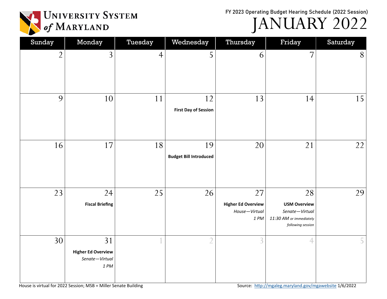FY 2023 Operating Budget Hearing Schedule (2022 Session)



JANUARY 2022

| Sunday         | Monday                                                    | Tuesday        | Wednesday                           | Thursday                                                       | Friday                                                                                      | Saturday |
|----------------|-----------------------------------------------------------|----------------|-------------------------------------|----------------------------------------------------------------|---------------------------------------------------------------------------------------------|----------|
| $\overline{2}$ | $\overline{3}$                                            | $\overline{4}$ | 5                                   | 6                                                              | $\overline{7}$                                                                              | 8        |
| 9              | 10                                                        | 11             | 12<br><b>First Day of Session</b>   | 13                                                             | 14                                                                                          | 15       |
| 16             | 17                                                        | 18             | 19<br><b>Budget Bill Introduced</b> | 20                                                             | 21                                                                                          | 22       |
| 23             | 24<br><b>Fiscal Briefing</b>                              | 25             | 26                                  | 27<br><b>Higher Ed Overview</b><br>House-Virtual<br>$1 \, P M$ | 28<br><b>USM Overview</b><br>Senate-Virtual<br>11:30 AM or immediately<br>following session | 29       |
| 30             | 31<br><b>Higher Ed Overview</b><br>Senate-Virtual<br>1 PM |                | $\overline{2}$                      | $\overline{3}$                                                 | $\overline{4}$                                                                              | 5        |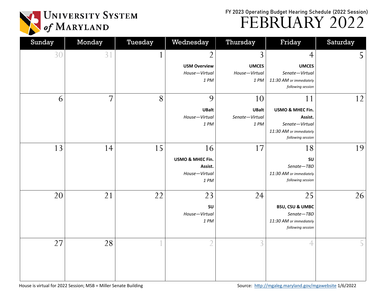FY 2023 Operating Budget Hearing Schedule (2022 Session) FEBRUARY 2022



| Sunday | Monday         | Tuesday      | Wednesday                                                      | Thursday                                     | Friday                                                                                              | Saturday |
|--------|----------------|--------------|----------------------------------------------------------------|----------------------------------------------|-----------------------------------------------------------------------------------------------------|----------|
| 30     | 31             | $\mathbf{1}$ | $\overline{2}$<br><b>USM Overview</b><br>House-Virtual<br>1 PM | 3<br><b>UMCES</b><br>House-Virtual<br>1 PM   | $\overline{4}$<br><b>UMCES</b><br>Senate-Virtual<br>11:30 AM or immediately<br>following session    | 5        |
| 6      | $\overline{7}$ | 8            | 9<br><b>UBalt</b><br>House-Virtual<br>1 PM                     | 10<br><b>UBalt</b><br>Senate-Virtual<br>1 PM | 11<br>USMO & MHEC Fin.<br>Assist.<br>Senate-Virtual<br>11:30 AM or immediately<br>following session | 12       |
| 13     | 14             | 15           | 16<br>USMO & MHEC Fin.<br>Assist.<br>House-Virtual<br>1 PM     | 17                                           | 18<br>SU<br>Senate-TBD<br>11:30 AM or immediately<br>following session                              | 19       |
| 20     | 21             | 22           | 23<br>SU<br>House-Virtual<br>1 PM                              | 24                                           | 25<br><b>BSU, CSU &amp; UMBC</b><br>Senate-TBD<br>11:30 AM or immediately<br>following session      | 26       |
| 27     | 28             |              | $\overline{2}$                                                 | 3                                            | $\overline{4}$                                                                                      |          |